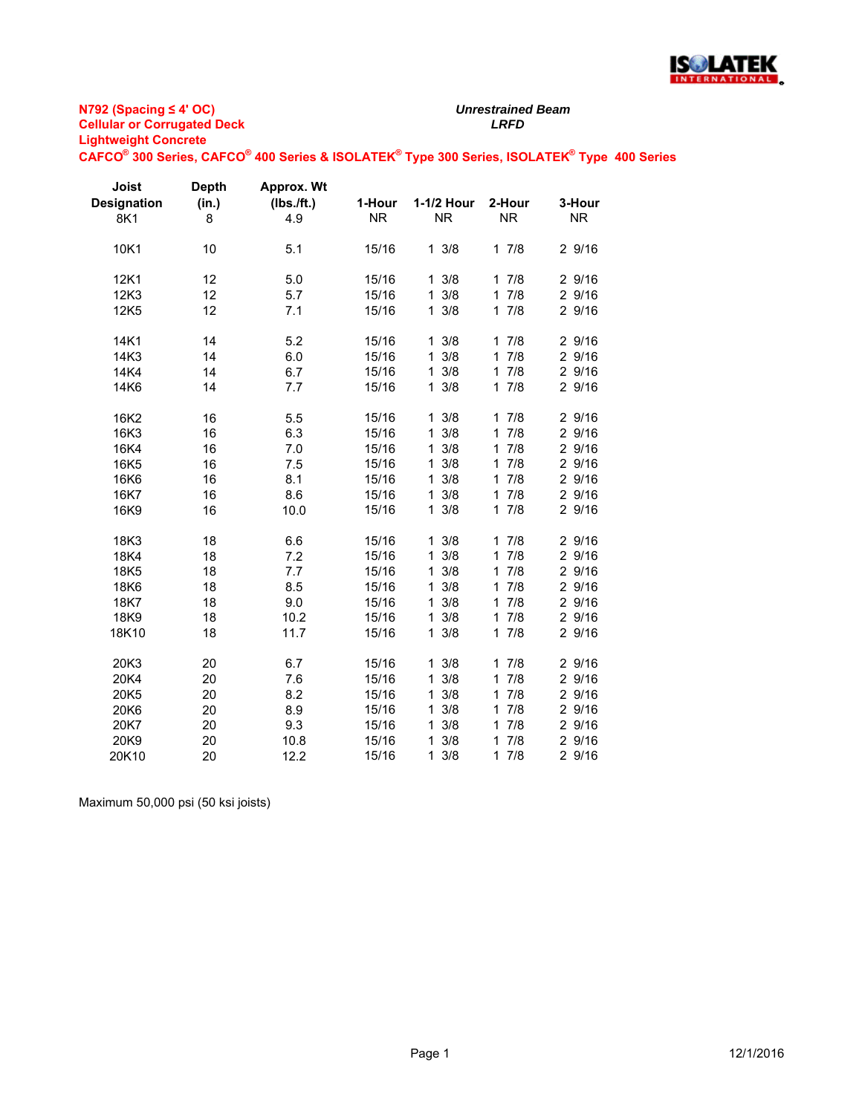

*Unrestrained Beam*

#### **CAFCO® 300 Series, CAFCO® 400 Series & ISOLATEK® Type 300 Series, ISOLATEK® Type 400 Series**

| Joist<br><b>Designation</b><br>8K1                    | <b>Depth</b><br>(in.)<br>8             | Approx. Wt<br>$(Ibs.$ ft.)<br>4.9               | 1-Hour<br><b>NR</b>                                         | 1-1/2 Hour<br><b>NR</b>                                                                        | 2-Hour<br><b>NR</b>                                                                                   | 3-Hour<br><b>NR</b>                                                |
|-------------------------------------------------------|----------------------------------------|-------------------------------------------------|-------------------------------------------------------------|------------------------------------------------------------------------------------------------|-------------------------------------------------------------------------------------------------------|--------------------------------------------------------------------|
| 10K1                                                  | 10                                     | 5.1                                             | 15/16                                                       | $1 \frac{3}{8}$                                                                                | 17/8                                                                                                  | 29/16                                                              |
| 12K1<br>12K3<br>12K <sub>5</sub>                      | 12<br>12<br>12                         | 5.0<br>5.7<br>7.1                               | 15/16<br>15/16<br>15/16                                     | $1 \frac{3}{8}$<br>3/8<br>1<br>$1 \frac{3}{8}$                                                 | 17/8<br>7/8<br>$\mathbf{1}$<br>17/8                                                                   | 29/16<br>2 9/16<br>29/16                                           |
| 14K1<br>14K3<br>14K4<br>14K6                          | 14<br>14<br>14<br>14                   | 5.2<br>6.0<br>6.7<br>7.7                        | 15/16<br>15/16<br>15/16<br>15/16                            | $1 \frac{3}{8}$<br>$1 \frac{3}{8}$<br>$1 \frac{3}{8}$<br>$1 \frac{3}{8}$                       | 17/8<br>17/8<br>17/8<br>17/8                                                                          | 2 9/16<br>2 9/16<br>2 9/16<br>2 9/16                               |
| 16K2<br>16K3<br>16K4<br>16K5<br>16K6<br>16K7<br>16K9  | 16<br>16<br>16<br>16<br>16<br>16<br>16 | 5.5<br>6.3<br>7.0<br>7.5<br>8.1<br>8.6<br>10.0  | 15/16<br>15/16<br>15/16<br>15/16<br>15/16<br>15/16<br>15/16 | $1 \frac{3}{8}$<br>3/8<br>1<br>3/8<br>1<br>3/8<br>1<br>3/8<br>1<br>3/8<br>1<br>$1 \frac{3}{8}$ | 17/8<br>7/8<br>$\mathbf{1}$<br>7/8<br>$\mathbf 1$<br>17/8<br>17/8<br>17/8<br>17/8                     | 29/16<br>2 9/16<br>2 9/16<br>29/16<br>2 9/16<br>2 9/16<br>2 9/16   |
| 18K3<br>18K4<br>18K5<br>18K6<br>18K7<br>18K9<br>18K10 | 18<br>18<br>18<br>18<br>18<br>18<br>18 | 6.6<br>7.2<br>7.7<br>8.5<br>9.0<br>10.2<br>11.7 | 15/16<br>15/16<br>15/16<br>15/16<br>15/16<br>15/16<br>15/16 | 3/8<br>1<br>3/8<br>1<br>3/8<br>1<br>3/8<br>1<br>3/8<br>1<br>3/8<br>1<br>$1 \frac{3}{8}$        | 17/8<br>$\mathbf{1}$<br>7/8<br>7/8<br>$\mathbf{1}$<br>7/8<br>$\mathbf{1}$<br>17/8<br>17/8<br>17/8     | 2 9/16<br>2 9/16<br>2 9/16<br>2 9/16<br>2 9/16<br>2 9/16<br>2 9/16 |
| 20K3<br>20K4<br>20K5<br>20K6<br>20K7<br>20K9<br>20K10 | 20<br>20<br>20<br>20<br>20<br>20<br>20 | 6.7<br>7.6<br>8.2<br>8.9<br>9.3<br>10.8<br>12.2 | 15/16<br>15/16<br>15/16<br>15/16<br>15/16<br>15/16<br>15/16 | $1 \frac{3}{8}$<br>3/8<br>1<br>3/8<br>1<br>3/8<br>1<br>3/8<br>1<br>3/8<br>1<br>3/8<br>1        | 17/8<br>17/8<br>17/8<br>7/8<br>$\mathbf{1}$<br>7/8<br>1<br>7/8<br>$\mathbf{1}$<br>7/8<br>$\mathbf{1}$ | 2 9/16<br>2 9/16<br>2 9/16<br>2 9/16<br>2 9/16<br>2 9/16<br>2 9/16 |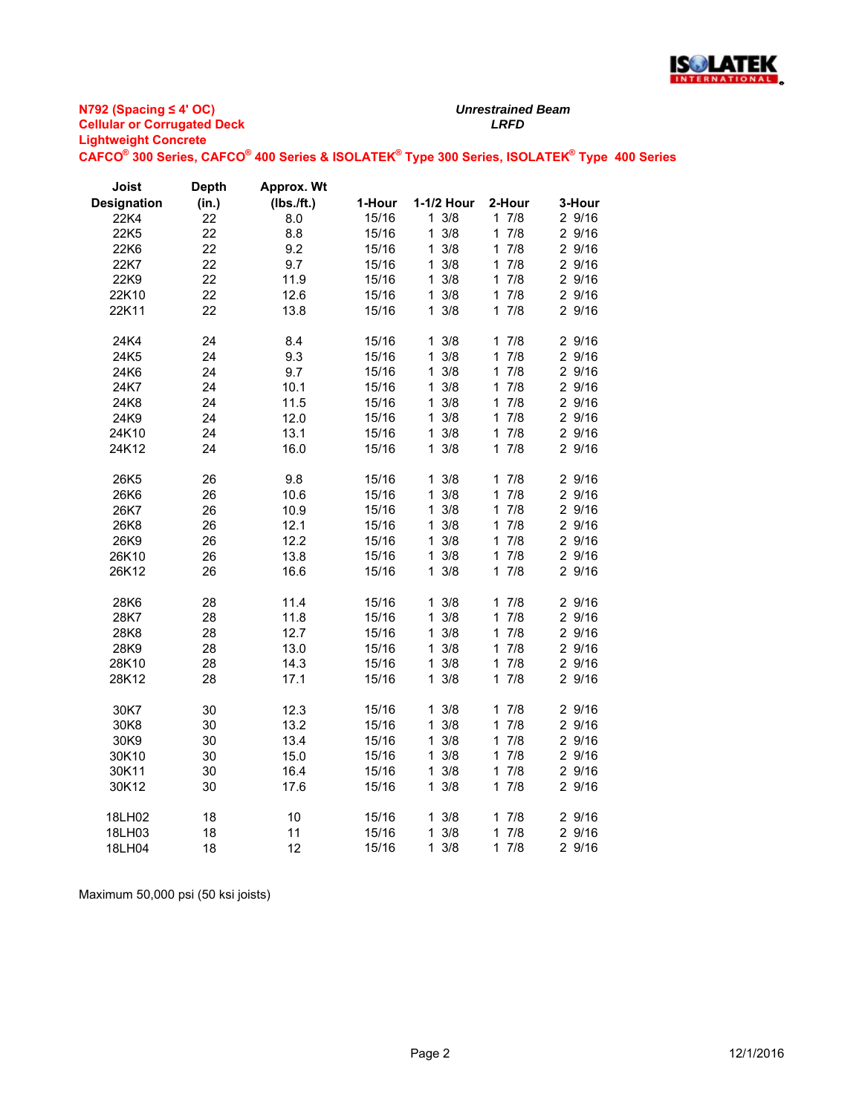

#### **N792 (Spacing ≤ 4' OC) Cellular or Corrugated Deck** *LRFD* **Lightweight Concrete CAFCO® 300 Series, CAFCO® 400 Series & ISOLATEK® Type 300 Series, ISOLATEK® Type 400 Series**

| Joist              | <b>Depth</b> | Approx. Wt |        |                     |                     |        |
|--------------------|--------------|------------|--------|---------------------|---------------------|--------|
| <b>Designation</b> | (in.)        | (Ibs./ft.) | 1-Hour | 1-1/2 Hour          | 2-Hour              | 3-Hour |
| 22K4               | 22           | 8.0        | 15/16  | $1 \frac{3}{8}$     | 17/8                | 2 9/16 |
| 22K5               | 22           | 8.8        | 15/16  | 3/8<br>$\mathbf{1}$ | 17/8                | 2 9/16 |
| 22K6               | 22           | 9.2        | 15/16  | 3/8<br>$\mathbf{1}$ | 17/8                | 2 9/16 |
| 22K7               | 22           | 9.7        | 15/16  | $1 \frac{3}{8}$     | 7/8<br>$\mathbf{1}$ | 2 9/16 |
| 22K9               | 22           | 11.9       | 15/16  | $1 \frac{3}{8}$     | 17/8                | 2 9/16 |
| 22K10              | 22           | 12.6       | 15/16  | 3/8<br>1            | 17/8                | 2 9/16 |
| 22K11              | 22           | 13.8       | 15/16  | $1 \frac{3}{8}$     | 17/8                | 2 9/16 |
| 24K4               | 24           | 8.4        | 15/16  | $1 \frac{3}{8}$     | 17/8                | 2 9/16 |
| 24K5               | 24           | 9.3        | 15/16  | $1 \frac{3}{8}$     | 7/8<br>1            | 2 9/16 |
| 24K6               | 24           | 9.7        | 15/16  | 3/8<br>$\mathbf 1$  | 7/8<br>$\mathbf{1}$ | 2 9/16 |
| 24K7               | 24           | 10.1       | 15/16  | $1 \t3/8$           | 17/8                | 2 9/16 |
| 24K8               | 24           | 11.5       | 15/16  | 1<br>3/8            | 17/8                | 2 9/16 |
| 24K9               | 24           | 12.0       | 15/16  | 3/8<br>1            | 17/8                | 2 9/16 |
| 24K10              | 24           | 13.1       | 15/16  | $1 \frac{3}{8}$     | 17/8                | 2 9/16 |
| 24K12              | 24           | 16.0       | 15/16  | $1 \frac{3}{8}$     | 17/8                | 2 9/16 |
| 26K5               | 26           | 9.8        | 15/16  | $1 \frac{3}{8}$     | 17/8                | 2 9/16 |
| 26K6               | 26           | 10.6       | 15/16  | 3/8<br>1            | 17/8                | 2 9/16 |
| 26K7               | 26           | 10.9       | 15/16  | 3/8<br>$\mathbf{1}$ | 7/8<br>$\mathbf{1}$ | 2 9/16 |
| 26K8               | 26           | 12.1       | 15/16  | 3/8<br>$\mathbf{1}$ | 17/8                | 2 9/16 |
| 26K9               | 26           | 12.2       | 15/16  | 3/8<br>$\mathbf{1}$ | 17/8                | 2 9/16 |
| 26K10              | 26           | 13.8       | 15/16  | 3/8<br>1.           | 7/8<br>1.           | 2 9/16 |
| 26K12              | 26           | 16.6       | 15/16  | $1 \frac{3}{8}$     | 17/8                | 2 9/16 |
| 28K6               | 28           | 11.4       | 15/16  | 3/8<br>1            | $\mathbf{1}$<br>7/8 | 2 9/16 |
| 28K7               | 28           | 11.8       | 15/16  | 3/8<br>$\mathbf{1}$ | 7/8<br>$\mathbf{1}$ | 2 9/16 |
| 28K8               | 28           | 12.7       | 15/16  | 3/8<br>$\mathbf{1}$ | 17/8                | 2 9/16 |
| 28K9               | 28           | 13.0       | 15/16  | 3/8<br>1            | 17/8                | 2 9/16 |
| 28K10              | 28           | 14.3       | 15/16  | 3/8<br>1            | 17/8                | 2 9/16 |
| 28K12              | 28           | 17.1       | 15/16  | $1 \t3/8$           | 17/8                | 2 9/16 |
| 30K7               | 30           | 12.3       | 15/16  | 3/8<br>1            | 1<br>7/8            | 2 9/16 |
| 30K8               | 30           | 13.2       | 15/16  | 3/8<br>$\mathbf{1}$ | 17/8                | 2 9/16 |
| 30K9               | 30           | 13.4       | 15/16  | 3/8<br>1            | 17/8                | 2 9/16 |
| 30K10              | 30           | 15.0       | 15/16  | $\mathbf{1}$<br>3/8 | 7/8<br>$\mathbf 1$  | 2 9/16 |
| 30K11              | 30           | 16.4       | 15/16  | 3/8<br>$\mathbf{1}$ | 17/8                | 2 9/16 |
| 30K12              | 30           | 17.6       | 15/16  | $1 \frac{3}{8}$     | 17/8                | 2 9/16 |
| 18LH02             | 18           | 10         | 15/16  | 3/8<br>1.           | 7/8<br>1            | 2 9/16 |
| 18LH03             | 18           | 11         | 15/16  | 3/8<br>1            | 17/8                | 2 9/16 |
| 18LH04             | 18           | 12         | 15/16  | $1 \frac{3}{8}$     | 17/8                | 29/16  |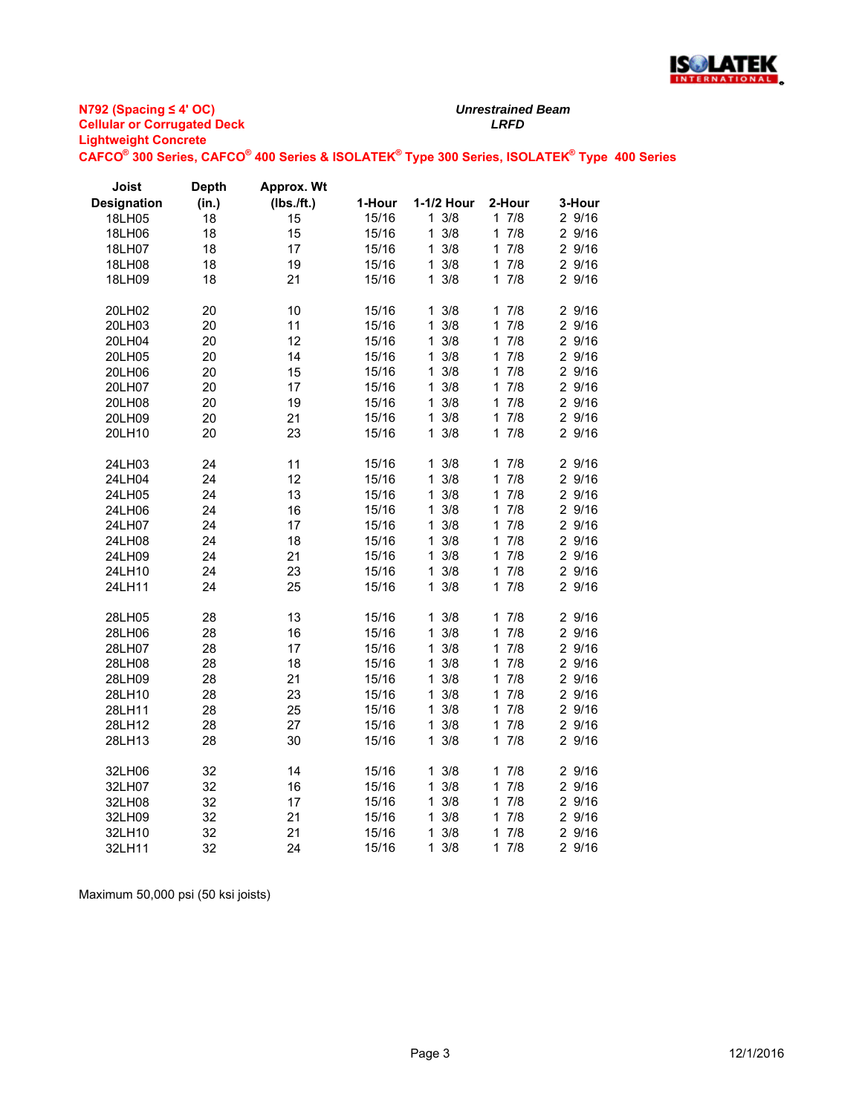

*Unrestrained Beam*

**CAFCO® 300 Series, CAFCO® 400 Series & ISOLATEK® Type 300 Series, ISOLATEK® Type 400 Series**

| Joist              | <b>Depth</b> | Approx. Wt |        |                    |           |        |
|--------------------|--------------|------------|--------|--------------------|-----------|--------|
| <b>Designation</b> | (in.)        | (Ibs./ft.) | 1-Hour | 1-1/2 Hour         | 2-Hour    | 3-Hour |
| 18LH05             | 18           | 15         | 15/16  | $1 \frac{3}{8}$    | 17/8      | 2 9/16 |
| 18LH06             | 18           | 15         | 15/16  | 3/8<br>1           | 1<br>7/8  | 2 9/16 |
| 18LH07             | 18           | 17         | 15/16  | 3/8<br>1           | 7/8<br>1  | 2 9/16 |
| 18LH08             | 18           | 19         | 15/16  | $1 \frac{3}{8}$    | 7/8<br>1. | 2 9/16 |
| 18LH09             | 18           | 21         | 15/16  | $1 \frac{3}{8}$    | 7/8<br>1  | 2 9/16 |
| 20LH02             | 20           | 10         | 15/16  | $1 \frac{3}{8}$    | 17/8      | 2 9/16 |
| 20LH03             | 20           | 11         | 15/16  | 3/8<br>1           | 7/8<br>1  | 2 9/16 |
| 20LH04             | 20           | 12         | 15/16  | 3/8<br>1           | 7/8<br>1  | 2 9/16 |
| 20LH05             | 20           | 14         | 15/16  | $1 \frac{3}{8}$    | 7/8<br>1. | 2 9/16 |
| 20LH06             | 20           | 15         | 15/16  | 3/8<br>1           | 7/8<br>1. | 2 9/16 |
| 20LH07             | 20           | 17         | 15/16  | 3/8<br>1           | 7/8<br>1  | 2 9/16 |
| 20LH08             | 20           | 19         | 15/16  | 3/8<br>1           | 7/8<br>1  | 2 9/16 |
| 20LH09             | 20           | 21         | 15/16  | $1 \frac{3}{8}$    | 7/8<br>1  | 29/16  |
| 20LH10             | 20           | 23         | 15/16  | $1 \frac{3}{8}$    | 7/8<br>1  | 2 9/16 |
| 24LH03             | 24           | 11         | 15/16  | $1 \frac{3}{8}$    | 17/8      | 2 9/16 |
| 24LH04             | 24           | 12         | 15/16  | 3/8<br>1           | 7/8<br>1  | 2 9/16 |
| 24LH05             | 24           | 13         | 15/16  | 3/8<br>1           | 1<br>7/8  | 2 9/16 |
| 24LH06             | 24           | 16         | 15/16  | 3/8<br>1           | 7/8<br>1  | 2 9/16 |
| 24LH07             | 24           | 17         | 15/16  | 3/8<br>1           | 7/8<br>1. | 2 9/16 |
| 24LH08             | 24           | 18         | 15/16  | 3/8<br>1           | 7/8<br>1  | 2 9/16 |
| 24LH09             | 24           | 21         | 15/16  | 3/8<br>1           | 7/8<br>1  | 2 9/16 |
| 24LH10             | 24           | 23         | 15/16  | $1 \frac{3}{8}$    | 7/8<br>1. | 2 9/16 |
| 24LH11             | 24           | 25         | 15/16  | $1 \frac{3}{8}$    | 7/8<br>1. | 2 9/16 |
| 28LH05             | 28           | 13         | 15/16  | $1 \frac{3}{8}$    | 7/8<br>1. | 2 9/16 |
| 28LH06             | 28           | 16         | 15/16  | 3/8<br>1           | 7/8<br>1  | 2 9/16 |
| 28LH07             | 28           | 17         | 15/16  | 3/8<br>1           | 7/8<br>1  | 2 9/16 |
| 28LH08             | 28           | 18         | 15/16  | 3/8<br>1           | 7/8<br>1  | 2 9/16 |
| 28LH09             | 28           | 21         | 15/16  | $1 \frac{3}{8}$    | 17/8      | 2 9/16 |
| 28LH10             | 28           | 23         | 15/16  | 3/8<br>1           | 7/8<br>1  | 2 9/16 |
| 28LH11             | 28           | 25         | 15/16  | 3/8<br>1           | 7/8<br>1  | 2 9/16 |
| 28LH12             | 28           | 27         | 15/16  | 3/8<br>1           | 7/8<br>1  | 2 9/16 |
| 28LH13             | 28           | 30         | 15/16  | $1 \frac{3}{8}$    | 7/8<br>1  | 2 9/16 |
| 32LH06             | 32           | 14         | 15/16  | $1 \frac{3}{8}$    | 17/8      | 2 9/16 |
| 32LH07             | 32           | 16         | 15/16  | 3/8<br>$\mathbf 1$ | 7/8<br>1  | 2 9/16 |
| 32LH08             | 32           | 17         | 15/16  | 3/8<br>1           | 7/8<br>1  | 2 9/16 |
| 32LH09             | 32           | 21         | 15/16  | 3/8<br>1           | 7/8<br>1  | 2 9/16 |
| 32LH10             | 32           | 21         | 15/16  | 1<br>3/8           | 7/8<br>1  | 2 9/16 |
| 32LH11             | 32           | 24         | 15/16  | 3/8<br>1           | 7/8<br>1  | 2 9/16 |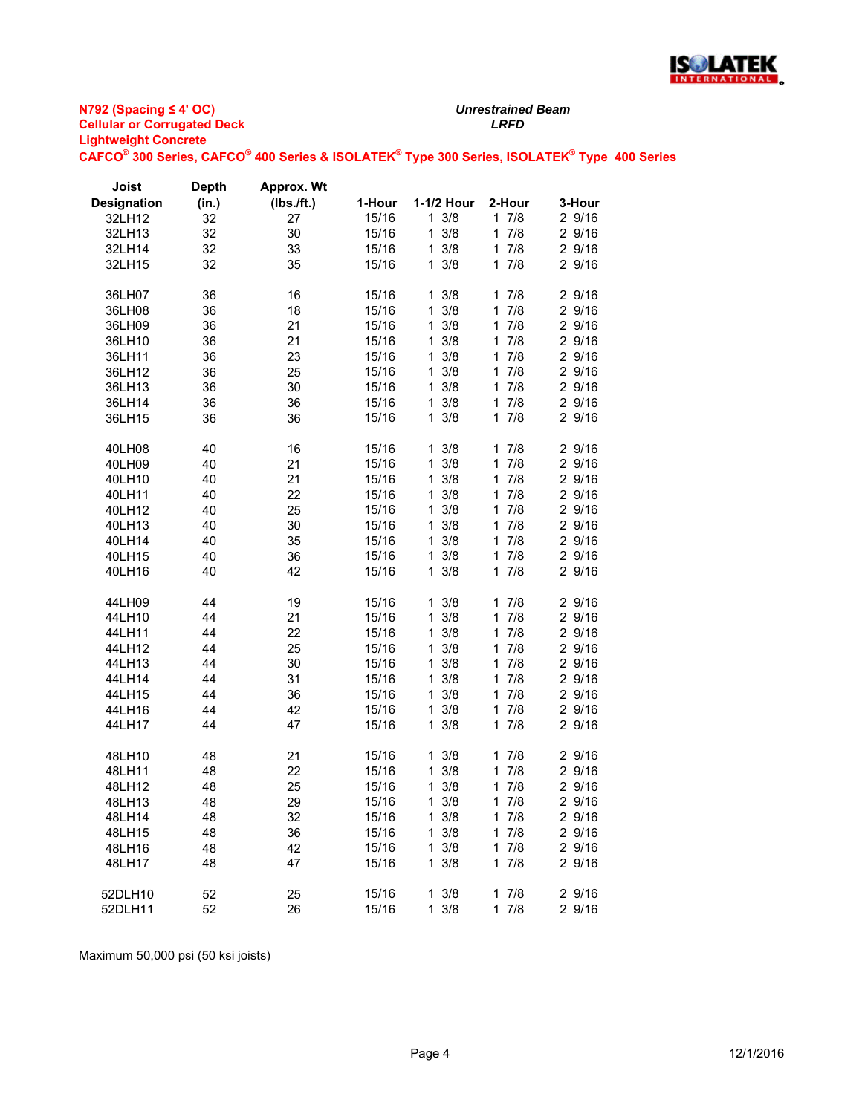

*Unrestrained Beam*

**CAFCO® 300 Series, CAFCO® 400 Series & ISOLATEK® Type 300 Series, ISOLATEK® Type 400 Series**

| Joist              | <b>Depth</b> | Approx. Wt |        |                     |                     |        |
|--------------------|--------------|------------|--------|---------------------|---------------------|--------|
| <b>Designation</b> | (in.)        | (Ibs./ft.) | 1-Hour | 1-1/2 Hour          | 2-Hour              | 3-Hour |
| 32LH12             | 32           | 27         | 15/16  | $1 \frac{3}{8}$     | 17/8                | 2 9/16 |
| 32LH13             | 32           | 30         | 15/16  | $1 \frac{3}{8}$     | 17/8                | 29/16  |
| 32LH14             | 32           | 33         | 15/16  | $1 \frac{3}{8}$     | $\mathbf{1}$<br>7/8 | 2 9/16 |
| 32LH15             | 32           | 35         | 15/16  | 3/8<br>$\mathbf{1}$ | 7/8<br>1            | 2 9/16 |
|                    |              |            |        |                     |                     |        |
| 36LH07             | 36           | 16         | 15/16  | $1 \frac{3}{8}$     | 17/8                | 29/16  |
| 36LH08             | 36           | 18         | 15/16  | $1 \frac{3}{8}$     | $\mathbf{1}$<br>7/8 | 29/16  |
| 36LH09             | 36           | 21         | 15/16  | $1 \frac{3}{8}$     | 7/8<br>1            | 2 9/16 |
| 36LH10             | 36           | 21         | 15/16  | 3/8<br>$\mathbf{1}$ | 7/8<br>$\mathbf{1}$ | 2 9/16 |
| 36LH11             | 36           | 23         | 15/16  | 3/8<br>1            | 7/8<br>$\mathbf{1}$ | 2 9/16 |
| 36LH12             | 36           | 25         | 15/16  | 3/8<br>$\mathbf{1}$ | 7/8<br>$\mathbf{1}$ | 2 9/16 |
| 36LH13             | 36           | 30         | 15/16  | $1 \frac{3}{8}$     | 7/8<br>$\mathbf{1}$ | 2 9/16 |
| 36LH14             | 36           | 36         | 15/16  | 3/8<br>1.           | 7/8<br>1            | 29/16  |
| 36LH15             | 36           | 36         | 15/16  | $1 \frac{3}{8}$     | 7/8<br>1            | 2 9/16 |
|                    |              |            |        |                     |                     |        |
| 40LH08             | 40           | 16         | 15/16  | $1 \frac{3}{8}$     | 7/8<br>$\mathbf{1}$ | 29/16  |
| 40LH09             | 40           | 21         | 15/16  | $1 \frac{3}{8}$     | 7/8<br>$\mathbf{1}$ | 2 9/16 |
| 40LH10             | 40           | 21         | 15/16  | $1 \frac{3}{8}$     | 7/8<br>1.           | 2 9/16 |
| 40LH11             | 40           | 22         | 15/16  | $1 \frac{3}{8}$     | 17/8                | 29/16  |
| 40LH12             | 40           | 25         | 15/16  | 3/8<br>$\mathbf{1}$ | 7/8<br>$\mathbf{1}$ | 2 9/16 |
| 40LH13             | 40           | 30         | 15/16  | 3/8<br>$\mathbf{1}$ | 7/8<br>$\mathbf{1}$ | 2 9/16 |
| 40LH14             | 40           | 35         | 15/16  | 3/8<br>1            | 7/8<br>$\mathbf{1}$ | 2 9/16 |
| 40LH15             | 40           | 36         | 15/16  | $1 \frac{3}{8}$     | 7/8<br>$\mathbf{1}$ | 29/16  |
| 40LH16             | 40           | 42         | 15/16  | $1 \frac{3}{8}$     | 7/8<br>1.           | 2 9/16 |
|                    |              |            |        |                     |                     |        |
| 44LH09             | 44           | 19         | 15/16  | 3/8<br>1            | 7/8<br>1.           | 29/16  |
| 44LH10             | 44           | 21         | 15/16  | 3/8<br>$\mathbf{1}$ | 7/8<br>$\mathbf{1}$ | 2 9/16 |
| 44LH11             | 44           | 22         | 15/16  | $1 \frac{3}{8}$     | 7/8<br>1            | 2 9/16 |
| 44LH12             | 44           | 25         | 15/16  | $1 \frac{3}{8}$     | $\mathbf{1}$<br>7/8 | 29/16  |
| 44LH13             | 44           | 30         | 15/16  | $1 \frac{3}{8}$     | 17/8                | 2 9/16 |
| 44LH14             | 44           | 31         | 15/16  | 3/8<br>$\mathbf{1}$ | 7/8<br>$\mathbf{1}$ | 2 9/16 |
| 44LH15             | 44           | 36         | 15/16  | 3/8<br>$\mathbf{1}$ | 7/8<br>$\mathbf{1}$ | 2 9/16 |
| 44LH16             | 44           | 42         | 15/16  | 3/8<br>$\mathbf{1}$ | 7/8<br>$\mathbf{1}$ | 2 9/16 |
| 44LH17             | 44           | 47         | 15/16  | $1 \frac{3}{8}$     | 7/8<br>$\mathbf{1}$ | 29/16  |
|                    |              |            |        |                     |                     |        |
| 48LH10             | 48           | 21         | 15/16  | 3/8<br>1            | 17/8                | 29/16  |
| 48LH11             | 48           | 22         | 15/16  | 3/8<br>$\mathbf{1}$ | 7/8<br>$\mathbf{1}$ | 29/16  |
| 48LH12             | 48           | 25         | 15/16  | 3/8<br>1            | 7/8<br>1            | 2 9/16 |
| 48LH13             | 48           | 29         | 15/16  | 13/8                | 17/8                | 29/16  |
| 48LH14             | 48           | 32         | 15/16  | $1 \frac{3}{8}$     | 17/8                | 2 9/16 |
| 48LH15             | 48           | 36         | 15/16  | $1 \frac{3}{8}$     | 17/8                | 29/16  |
| 48LH16             | 48           | 42         | 15/16  | $1 \frac{3}{8}$     | 17/8                | 2 9/16 |
| 48LH17             | 48           | 47         | 15/16  | $1 \frac{3}{8}$     | 17/8                | 2 9/16 |
|                    |              |            |        |                     |                     |        |
| 52DLH10            | 52           | 25         | 15/16  | $1 \frac{3}{8}$     | 17/8                | 2 9/16 |
| 52DLH11            | 52           | 26         | 15/16  | $1 \frac{3}{8}$     | 17/8                | 2 9/16 |
|                    |              |            |        |                     |                     |        |